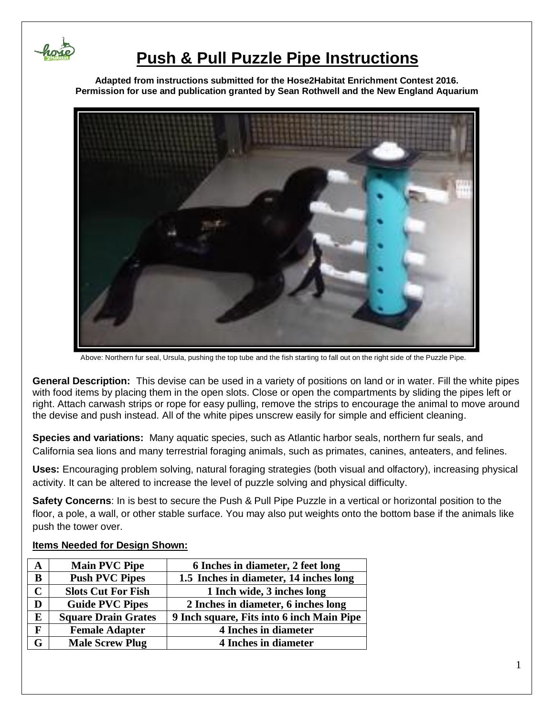

## **Push & Pull Puzzle Pipe Instructions**

**Adapted from instructions submitted for the Hose2Habitat Enrichment Contest 2016. Permission for use and publication granted by Sean Rothwell and the New England Aquarium**



Above: Northern fur seal, Ursula, pushing the top tube and the fish starting to fall out on the right side of the Puzzle Pipe.

**General Description:** This devise can be used in a variety of positions on land or in water. Fill the white pipes with food items by placing them in the open slots. Close or open the compartments by sliding the pipes left or right. Attach carwash strips or rope for easy pulling, remove the strips to encourage the animal to move around the devise and push instead. All of the white pipes unscrew easily for simple and efficient cleaning.

**Species and variations:** Many aquatic species, such as Atlantic harbor seals, northern fur seals, and California sea lions and many terrestrial foraging animals, such as primates, canines, anteaters, and felines.

**Uses:** Encouraging problem solving, natural foraging strategies (both visual and olfactory), increasing physical activity. It can be altered to increase the level of puzzle solving and physical difficulty.

**Safety Concerns**: In is best to secure the Push & Pull Pipe Puzzle in a vertical or horizontal position to the floor, a pole, a wall, or other stable surface. You may also put weights onto the bottom base if the animals like push the tower over.

| A | <b>Main PVC Pipe</b>       | 6 Inches in diameter, 2 feet long         |
|---|----------------------------|-------------------------------------------|
| B | <b>Push PVC Pipes</b>      | 1.5 Inches in diameter, 14 inches long    |
|   | <b>Slots Cut For Fish</b>  | 1 Inch wide, 3 inches long                |
| D | <b>Guide PVC Pipes</b>     | 2 Inches in diameter, 6 inches long       |
| E | <b>Square Drain Grates</b> | 9 Inch square, Fits into 6 inch Main Pipe |
| F | <b>Female Adapter</b>      | <b>4 Inches in diameter</b>               |
| G | <b>Male Screw Plug</b>     | 4 Inches in diameter                      |

#### **Items Needed for Design Shown:**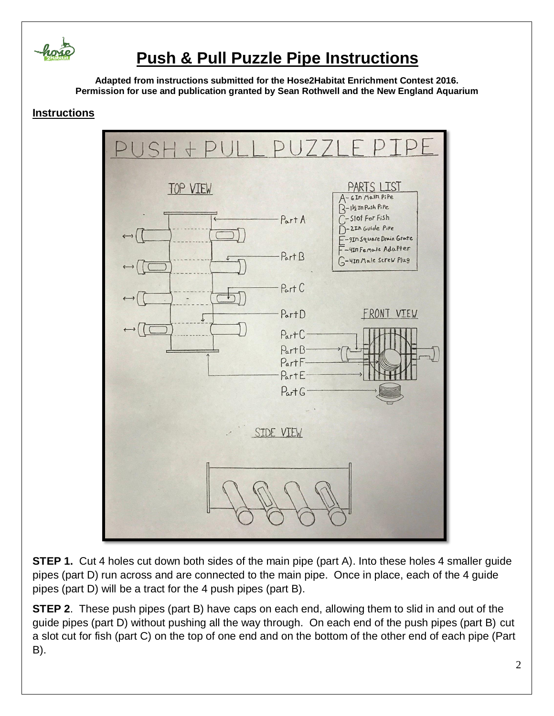

# **Push & Pull Puzzle Pipe Instructions**

**Adapted from instructions submitted for the Hose2Habitat Enrichment Contest 2016. Permission for use and publication granted by Sean Rothwell and the New England Aquarium**

### **Instructions**



**STEP 1.** Cut 4 holes cut down both sides of the main pipe (part A). Into these holes 4 smaller guide pipes (part D) run across and are connected to the main pipe. Once in place, each of the 4 guide pipes (part D) will be a tract for the 4 push pipes (part B).

**STEP 2**. These push pipes (part B) have caps on each end, allowing them to slid in and out of the guide pipes (part D) without pushing all the way through. On each end of the push pipes (part B) cut a slot cut for fish (part C) on the top of one end and on the bottom of the other end of each pipe (Part B).